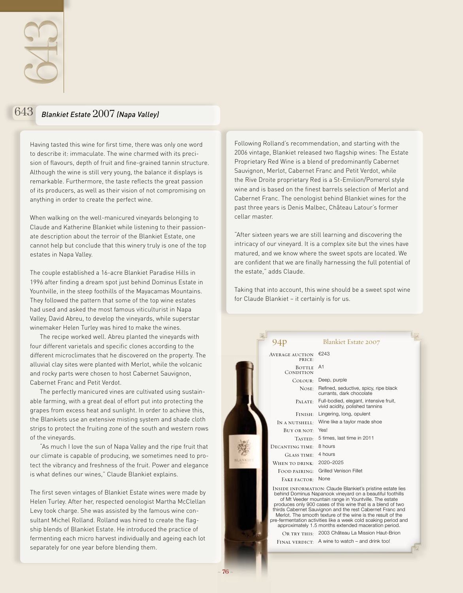

## 643 *Blankiet Estate* 2007 *(Napa Valley)*

Having tasted this wine for first time, there was only one word to describe it: immaculate. The wine charmed with its precision of flavours, depth of fruit and fine-grained tannin structure. Although the wine is still very young, the balance it displays is remarkable. Furthermore, the taste reflects the great passion of its producers, as well as their vision of not compromising on anything in order to create the perfect wine.

When walking on the well-manicured vineyards belonging to Claude and Katherine Blankiet while listening to their passionate description about the terroir of the Blankiet Estate, one cannot help but conclude that this winery truly is one of the top estates in Napa Valley.

The couple established a 16-acre Blankiet Paradise Hills in 1996 after finding a dream spot just behind Dominus Estate in Yountville, in the steep foothills of the Mayacamas Mountains. They followed the pattern that some of the top wine estates had used and asked the most famous viticulturist in Napa Valley, David Abreu, to develop the vineyards, while superstar winemaker Helen Turley was hired to make the wines.

The recipe worked well. Abreu planted the vineyards with four different varietals and specific clones according to the different microclimates that he discovered on the property. The alluvial clay sites were planted with Merlot, while the volcanic and rocky parts were chosen to host Cabernet Sauvignon, Cabernet Franc and Petit Verdot.

The perfectly manicured vines are cultivated using sustainable farming, with a great deal of effort put into protecting the grapes from excess heat and sunlight. In order to achieve this, the Blankiets use an extensive misting system and shade cloth strips to protect the fruiting zone of the south and western rows of the vineyards.

"As much I love the sun of Napa Valley and the ripe fruit that our climate is capable of producing, we sometimes need to protect the vibrancy and freshness of the fruit. Power and elegance is what defines our wines," Claude Blankiet explains.

The first seven vintages of Blankiet Estate wines were made by Helen Turley. After her, respected oenologist Martha McClellan Levy took charge. She was assisted by the famous wine consultant Michel Rolland. Rolland was hired to create the flagship blends of Blankiet Estate. He introduced the practice of fermenting each micro harvest individually and ageing each lot separately for one year before blending them.

Following Rolland's recommendation, and starting with the 2006 vintage, Blankiet released two flagship wines: The Estate Proprietary Red Wine is a blend of predominantly Cabernet Sauvignon, Merlot, Cabernet Franc and Petit Verdot, while the Rive Droite proprietary Red is a St-Emilion/Pomerol style wine and is based on the finest barrels selection of Merlot and Cabernet Franc. The oenologist behind Blankiet wines for the past three years is Denis Malbec, Château Latour's former cellar master.

"After sixteen years we are still learning and discovering the intricacy of our vineyard. It is a complex site but the vines have matured, and we know where the sweet spots are located. We are confident that we are finally harnessing the full potential of the estate," adds Claude.

Taking that into account, this wine should be a sweet spot wine for Claude Blankiet – it certainly is for us.

|  | 94 <sub>p</sub>           | <b>Blankiet Estate 2007</b>                                                                                                                                                                                                                                                                                                                                                                                                                                                                                   |  |
|--|---------------------------|---------------------------------------------------------------------------------------------------------------------------------------------------------------------------------------------------------------------------------------------------------------------------------------------------------------------------------------------------------------------------------------------------------------------------------------------------------------------------------------------------------------|--|
|  | AVERAGE AUCTION<br>PRICE: | €243                                                                                                                                                                                                                                                                                                                                                                                                                                                                                                          |  |
|  | BOTTLE<br>CONDITION       | A <sub>1</sub>                                                                                                                                                                                                                                                                                                                                                                                                                                                                                                |  |
|  | Colour:                   | Deep, purple                                                                                                                                                                                                                                                                                                                                                                                                                                                                                                  |  |
|  | NOSE:                     | Refined, seductive, spicy, ripe black<br>currants, dark chocolate                                                                                                                                                                                                                                                                                                                                                                                                                                             |  |
|  | PALATE:                   | Full-bodied, elegant, intensive fruit,<br>vivid acidity, polished tannins                                                                                                                                                                                                                                                                                                                                                                                                                                     |  |
|  | FINISH:                   | Lingering, long, opulent                                                                                                                                                                                                                                                                                                                                                                                                                                                                                      |  |
|  | IN A NUTSHELL:            | Wine like a taylor made shoe                                                                                                                                                                                                                                                                                                                                                                                                                                                                                  |  |
|  | BUY OR NOT:               | Yes!                                                                                                                                                                                                                                                                                                                                                                                                                                                                                                          |  |
|  | TASTED:                   | 5 times, last time in 2011                                                                                                                                                                                                                                                                                                                                                                                                                                                                                    |  |
|  | DECANTING TIME:           | 8 hours                                                                                                                                                                                                                                                                                                                                                                                                                                                                                                       |  |
|  | GLASS TIME:               | 4 hours                                                                                                                                                                                                                                                                                                                                                                                                                                                                                                       |  |
|  | WHEN TO DRINK:            | 2020-2025                                                                                                                                                                                                                                                                                                                                                                                                                                                                                                     |  |
|  | FOOD PAIRING:             | <b>Grilled Venison Fillet</b>                                                                                                                                                                                                                                                                                                                                                                                                                                                                                 |  |
|  | FAKE FACTOR:              | None                                                                                                                                                                                                                                                                                                                                                                                                                                                                                                          |  |
|  |                           | <b>INSIDE INFORMATION: Claude Blankiet's pristine estate lies</b><br>behind Dominus Napanook vineyard on a beautiful foothills<br>of Mt Veeder mountain range in Yountville. The estate<br>produces only 900 cases of this wine that is a blend of two<br>thirds Cabernet Sauvignon and the rest Cabernet Franc and<br>Merlot. The smooth texture of the wine is the result of the<br>pre-fermentation activities like a week cold soaking period and<br>approximately 1.5 months extended maceration period. |  |
|  |                           | OR TRY THIS: 2003 Château La Mission Haut-Brion                                                                                                                                                                                                                                                                                                                                                                                                                                                               |  |
|  |                           | FINAL VERDICT: A wine to watch - and drink too!                                                                                                                                                                                                                                                                                                                                                                                                                                                               |  |
|  |                           |                                                                                                                                                                                                                                                                                                                                                                                                                                                                                                               |  |